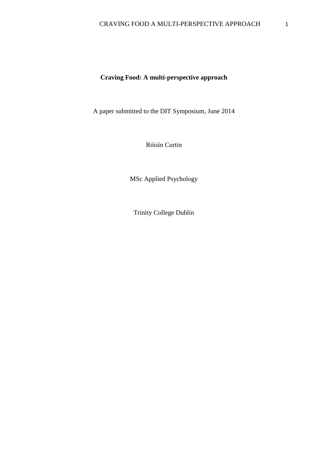# **Craving Food: A multi-perspective approach**

A paper submitted to the DIT Symposium, June 2014

Róisín Curtin

MSc Applied Psychology

Trinity College Dublin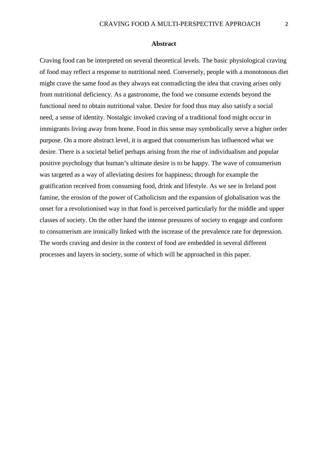#### **Abstract**

Craving food can be interpreted on several theoretical levels. The basic physiological craving of food may reflect a response to nutritional need. Conversely, people with a monotonous diet might crave the same food as they always eat contradicting the idea that craving arises only from nutritional deficiency. As a gastronome, the food we consume extends beyond the functional need to obtain nutritional value. Desire for food thus may also satisfy a social need, a sense of identity. Nostalgic invoked craving of a traditional food might occur in immigrants living away from home. Food in this sense may symbolically serve a higher order purpose. On a more abstract level, it is argued that consumerism has influenced what we desire. There is a societal belief perhaps arising from the rise of individualism and popular positive psychology that human's ultimate desire is to be happy. The wave of consumerism was targeted as a way of alleviating desires for happiness; through for example the gratification received from consuming food, drink and lifestyle. As we see in Ireland post famine, the erosion of the power of Catholicism and the expansion of globalisation was the onset for a revolutionised way in that food is perceived particularly for the middle and upper classes of society. On the other hand the intense pressures of society to engage and conform to consumerism are ironically linked with the increase of the prevalence rate for depression. The words craving and desire in the context of food are embedded in several different processes and layers in society, some of which will be approached in this paper.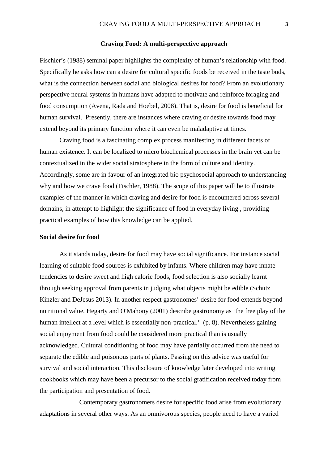### **Craving Food: A multi-perspective approach**

Fischler's (1988) seminal paper highlights the complexity of human's relationship with food. Specifically he asks how can a desire for cultural specific foods be received in the taste buds, what is the connection between social and biological desires for food? From an evolutionary perspective neural systems in humans have adapted to motivate and reinforce foraging and food consumption (Avena, Rada and Hoebel, 2008). That is, desire for food is beneficial for human survival. Presently, there are instances where craving or desire towards food may extend beyond its primary function where it can even be maladaptive at times.

Craving food is a fascinating complex process manifesting in different facets of human existence. It can be localized to micro biochemical processes in the brain yet can be contextualized in the wider social stratosphere in the form of culture and identity. Accordingly, some are in favour of an integrated bio psychosocial approach to understanding why and how we crave food (Fischler, 1988). The scope of this paper will be to illustrate examples of the manner in which craving and desire for food is encountered across several domains, in attempt to highlight the significance of food in everyday living , providing practical examples of how this knowledge can be applied.

### **Social desire for food**

As it stands today, desire for food may have social significance. For instance social learning of suitable food sources is exhibited by infants. Where children may have innate tendencies to desire sweet and high calorie foods, food selection is also socially learnt through seeking approval from parents in judging what objects might be edible (Schutz Kinzler and DeJesus 2013). In another respect gastronomes' desire for food extends beyond nutritional value. Hegarty and O'Mahony (2001) describe gastronomy as 'the free play of the human intellect at a level which is essentially non-practical.' (p. 8). Nevertheless gaining social enjoyment from food could be considered more practical than is usually acknowledged. Cultural conditioning of food may have partially occurred from the need to separate the edible and poisonous parts of plants. Passing on this advice was useful for survival and social interaction. This disclosure of knowledge later developed into writing cookbooks which may have been a precursor to the social gratification received today from the participation and presentation of food.

Contemporary gastronomers desire for specific food arise from evolutionary adaptations in several other ways. As an omnivorous species, people need to have a varied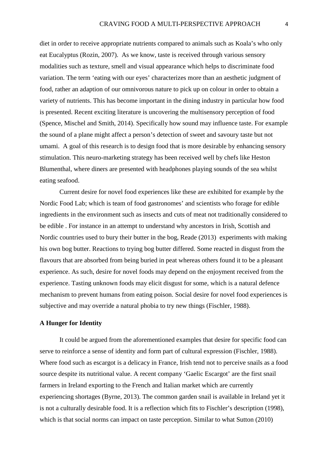diet in order to receive appropriate nutrients compared to animals such as Koala's who only eat Eucalyptus (Rozin, 2007). As we know, taste is received through various sensory modalities such as texture, smell and visual appearance which helps to discriminate food variation. The term 'eating with our eyes' characterizes more than an aesthetic judgment of food, rather an adaption of our omnivorous nature to pick up on colour in order to obtain a variety of nutrients. This has become important in the dining industry in particular how food is presented. Recent exciting literature is uncovering the multisensory perception of food (Spence, Mischel and Smith, 2014). Specifically how sound may influence taste. For example the sound of a plane might affect a person's detection of sweet and savoury taste but not umami. A goal of this research is to design food that is more desirable by enhancing sensory stimulation. This neuro-marketing strategy has been received well by chefs like Heston Blumenthal, where diners are presented with headphones playing sounds of the sea whilst eating seafood.

Current desire for novel food experiences like these are exhibited for example by the Nordic Food Lab; which is team of food gastronomes' and scientists who forage for edible ingredients in the environment such as insects and cuts of meat not traditionally considered to be edible . For instance in an attempt to understand why ancestors in Irish, Scottish and Nordic countries used to bury their butter in the bog, Reade (2013) experiments with making his own bog butter. Reactions to trying bog butter differed. Some reacted in disgust from the flavours that are absorbed from being buried in peat whereas others found it to be a pleasant experience. As such, desire for novel foods may depend on the enjoyment received from the experience. Tasting unknown foods may elicit disgust for some, which is a natural defence mechanism to prevent humans from eating poison. Social desire for novel food experiences is subjective and may override a natural phobia to try new things (Fischler, 1988).

# **A Hunger for Identity**

It could be argued from the aforementioned examples that desire for specific food can serve to reinforce a sense of identity and form part of cultural expression (Fischler, 1988). Where food such as escargot is a delicacy in France, Irish tend not to perceive snails as a food source despite its nutritional value. A recent company 'Gaelic Escargot' are the first snail farmers in Ireland exporting to the French and Italian market which are currently experiencing shortages (Byrne, 2013). The common garden snail is available in Ireland yet it is not a culturally desirable food. It is a reflection which fits to Fischler's description (1998), which is that social norms can impact on taste perception. Similar to what Sutton (2010)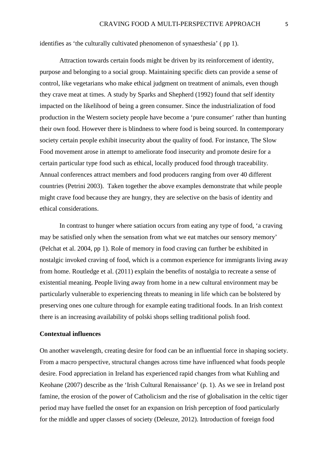identifies as 'the culturally cultivated phenomenon of synaesthesia' ( pp 1).

Attraction towards certain foods might be driven by its reinforcement of identity, purpose and belonging to a social group. Maintaining specific diets can provide a sense of control, like vegetarians who make ethical judgment on treatment of animals, even though they crave meat at times. A study by Sparks and Shepherd (1992) found that self identity impacted on the likelihood of being a green consumer. Since the industrialization of food production in the Western society people have become a 'pure consumer' rather than hunting their own food. However there is blindness to where food is being sourced. In contemporary society certain people exhibit insecurity about the quality of food. For instance, The Slow Food movement arose in attempt to ameliorate food insecurity and promote desire for a certain particular type food such as ethical, locally produced food through traceability. Annual conferences attract members and food producers ranging from over 40 different countries (Petrini 2003). Taken together the above examples demonstrate that while people might crave food because they are hungry, they are selective on the basis of identity and ethical considerations.

In contrast to hunger where satiation occurs from eating any type of food, 'a craving may be satisfied only when the sensation from what we eat matches our sensory memory' (Pelchat et al. 2004, pp 1). Role of memory in food craving can further be exhibited in nostalgic invoked craving of food, which is a common experience for immigrants living away from home. Routledge et al. (2011) explain the benefits of nostalgia to recreate a sense of existential meaning. People living away from home in a new cultural environment may be particularly vulnerable to experiencing threats to meaning in life which can be bolstered by preserving ones one culture through for example eating traditional foods. In an Irish context there is an increasing availability of polski shops selling traditional polish food.

# **Contextual influences**

On another wavelength, creating desire for food can be an influential force in shaping society. From a macro perspective, structural changes across time have influenced what foods people desire. Food appreciation in Ireland has experienced rapid changes from what Kuhling and Keohane (2007) describe as the 'Irish Cultural Renaissance' (p. 1). As we see in Ireland post famine, the erosion of the power of Catholicism and the rise of globalisation in the celtic tiger period may have fuelled the onset for an expansion on Irish perception of food particularly for the middle and upper classes of society (Deleuze, 2012). Introduction of foreign food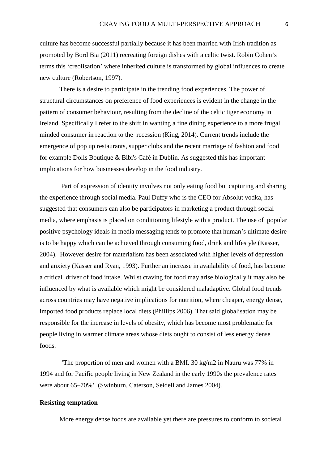culture has become successful partially because it has been married with Irish tradition as promoted by Bord Bia (2011) recreating foreign dishes with a celtic twist. Robin Cohen's terms this 'creolisation' where inherited culture is transformed by global influences to create new culture (Robertson, 1997).

There is a desire to participate in the trending food experiences. The power of structural circumstances on preference of food experiences is evident in the change in the pattern of consumer behaviour, resulting from the decline of the celtic tiger economy in Ireland. Specifically I refer to the shift in wanting a fine dining experience to a more frugal minded consumer in reaction to the recession (King, 2014). Current trends include the emergence of pop up restaurants, supper clubs and the recent marriage of fashion and food for example Dolls Boutique & Bibi's Café in Dublin. As suggested this has important implications for how businesses develop in the food industry.

Part of expression of identity involves not only eating food but capturing and sharing the experience through social media. Paul Duffy who is the CEO for Absolut vodka, has suggested that consumers can also be participators in marketing a product through social media, where emphasis is placed on conditioning lifestyle with a product. The use of popular positive psychology ideals in media messaging tends to promote that human's ultimate desire is to be happy which can be achieved through consuming food, drink and lifestyle (Kasser, 2004). However desire for materialism has been associated with higher levels of depression and anxiety (Kasser and Ryan, 1993). Further an increase in availability of food, has become a critical driver of food intake. Whilst craving for food may arise biologically it may also be influenced by what is available which might be considered maladaptive. Global food trends across countries may have negative implications for nutrition, where cheaper, energy dense, imported food products replace local diets (Phillips 2006). That said globalisation may be responsible for the increase in levels of obesity, which has become most problematic for people living in warmer climate areas whose diets ought to consist of less energy dense foods.

'The proportion of men and women with a BMI. 30 kg/m2 in Nauru was 77% in 1994 and for Pacific people living in New Zealand in the early 1990s the prevalence rates were about 65–70%' (Swinburn, Caterson, Seidell and James 2004).

# **Resisting temptation**

More energy dense foods are available yet there are pressures to conform to societal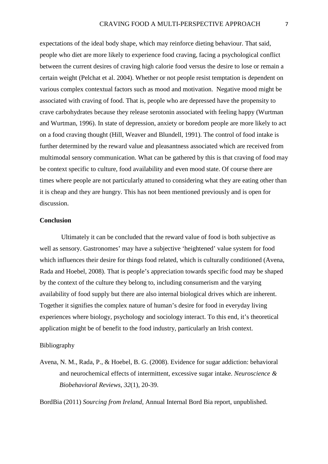expectations of the ideal body shape, which may reinforce dieting behaviour. That said, people who diet are more likely to experience food craving, facing a psychological conflict between the current desires of craving high calorie food versus the desire to lose or remain a certain weight (Pelchat et al. 2004). Whether or not people resist temptation is dependent on various complex contextual factors such as mood and motivation. Negative mood might be associated with craving of food. That is, people who are depressed have the propensity to crave carbohydrates because they release serotonin associated with feeling happy (Wurtman and Wurtman, 1996). In state of depression, anxiety or boredom people are more likely to act on a food craving thought (Hill, Weaver and Blundell, 1991). The control of food intake is further determined by the reward value and pleasantness associated which are received from multimodal sensory communication. What can be gathered by this is that craving of food may be context specific to culture, food availability and even mood state. Of course there are times where people are not particularly attuned to considering what they are eating other than it is cheap and they are hungry. This has not been mentioned previously and is open for discussion.

# **Conclusion**

Ultimately it can be concluded that the reward value of food is both subjective as well as sensory. Gastronomes' may have a subjective 'heightened' value system for food which influences their desire for things food related, which is culturally conditioned (Avena, Rada and Hoebel, 2008). That is people's appreciation towards specific food may be shaped by the context of the culture they belong to, including consumerism and the varying availability of food supply but there are also internal biological drives which are inherent. Together it signifies the complex nature of human's desire for food in everyday living experiences where biology, psychology and sociology interact. To this end, it's theoretical application might be of benefit to the food industry, particularly an Irish context.

## Bibliography

Avena, N. M., Rada, P., & Hoebel, B. G. (2008). Evidence for sugar addiction: behavioral and neurochemical effects of intermittent, excessive sugar intake. *Neuroscience & Biobehavioral Reviews*, *32*(1), 20-39.

BordBia (2011) *Sourcing from Ireland,* Annual Internal Bord Bia report, unpublished.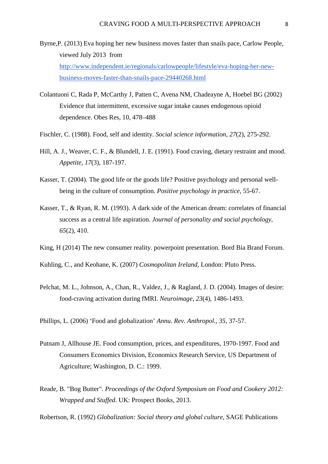- Byrne,P. (2013) Eva hoping her new business moves faster than snails pace, Carlow People, viewed July 2013 from [http://www.independent.ie/regionals/carlowpeople/lifestyle/eva-hoping-her-new](http://www.independent.ie/regionals/carlowpeople/lifestyle/eva-hoping-her-new-business-moves-faster-than-snails-pace-29440268.html)[business-moves-faster-than-snails-pace-29440268.html](http://www.independent.ie/regionals/carlowpeople/lifestyle/eva-hoping-her-new-business-moves-faster-than-snails-pace-29440268.html)
- Colantuoni C, Rada P, McCarthy J, Patten C, Avena NM, Chadeayne A, Hoebel BG (2002) Evidence that intermittent, excessive sugar intake causes endogenous opioid dependence. Obes Res, 10, 478–488
- Fischler, C. (1988). Food, self and identity. *Social science information*, *27*(2), 275-292.
- Hill, A. J., Weaver, C. F., & Blundell, J. E. (1991). Food craving, dietary restraint and mood. *Appetite*, *17*(3), 187-197.
- Kasser, T. (2004). The good life or the goods life? Positive psychology and personal wellbeing in the culture of consumption. *Positive psychology in practice*, 55-67.
- Kasser, T., & Ryan, R. M. (1993). A dark side of the American dream: correlates of financial success as a central life aspiration. *Journal of personality and social psychology*, *65*(2), 410.
- King, H (2014) The new consumer reality. powerpoint presentation. Bord Bia Brand Forum.

Kuhling, C., and Keohane, K. (2007) *Cosmopolitan Ireland*, London: Pluto Press.

Pelchat, M. L., Johnson, A., Chan, R., Valdez, J., & Ragland, J. D. (2004). Images of desire: food-craving activation during fMRI. *Neuroimage*, *23*(4), 1486-1493.

Phillips, L. (2006) 'Food and globalization' *Annu. Rev. Anthropol.*, *35*, 37-57.

- Putnam J, Allhouse JE. Food consumption, prices, and expenditures, 1970-1997. Food and Consumers Economics Division, Economics Research Service, US Department of Agriculture; Washington, D. C.: 1999.
- Reade, B. "Bog Butter". *Proceedings of the Oxford Symposium on Food and Cookery 2012: Wrapped and Stuffed*. UK: Prospect Books, 2013.

Robertson, R. (1992) *Globalization: Social theory and global culture*, SAGE Publications